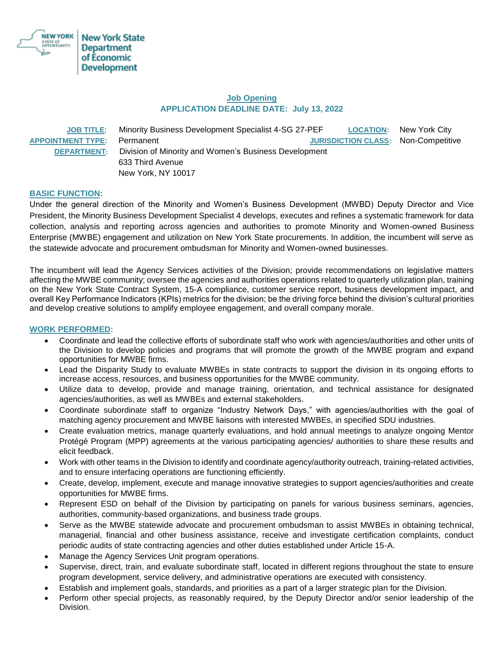

# **Job Opening APPLICATION DEADLINE DATE: July 13, 2022**

|                          | JOB TITLE: Minority Business Development Specialist 4-SG 27-PEF |                                            | <b>LOCATION:</b> New York City |
|--------------------------|-----------------------------------------------------------------|--------------------------------------------|--------------------------------|
| <b>APPOINTMENT TYPE:</b> | Permanent                                                       | <b>JURISDICTION CLASS: Non-Competitive</b> |                                |
| <b>DEPARTMENT:</b>       | Division of Minority and Women's Business Development           |                                            |                                |
|                          | 633 Third Avenue                                                |                                            |                                |
|                          | New York, NY 10017                                              |                                            |                                |

# **BASIC FUNCTION:**

Under the general direction of the Minority and Women's Business Development (MWBD) Deputy Director and Vice President, the Minority Business Development Specialist 4 develops, executes and refines a systematic framework for data collection, analysis and reporting across agencies and authorities to promote Minority and Women-owned Business Enterprise (MWBE) engagement and utilization on New York State procurements. In addition, the incumbent will serve as the statewide advocate and procurement ombudsman for Minority and Women-owned businesses.

The incumbent will lead the Agency Services activities of the Division; provide recommendations on legislative matters affecting the MWBE community; oversee the agencies and authorities operations related to quarterly utilization plan, training on the New York State Contract System, 15-A compliance, customer service report, business development impact, and overall Key Performance Indicators (KPIs) metrics for the division; be the driving force behind the division's cultural priorities and develop creative solutions to amplify employee engagement, and overall company morale.

## **WORK PERFORMED:**

- Coordinate and lead the collective efforts of subordinate staff who work with agencies/authorities and other units of the Division to develop policies and programs that will promote the growth of the MWBE program and expand opportunities for MWBE firms.
- Lead the Disparity Study to evaluate MWBEs in state contracts to support the division in its ongoing efforts to increase access, resources, and business opportunities for the MWBE community.
- Utilize data to develop, provide and manage training, orientation, and technical assistance for designated agencies/authorities, as well as MWBEs and external stakeholders.
- Coordinate subordinate staff to organize "Industry Network Days," with agencies/authorities with the goal of matching agency procurement and MWBE liaisons with interested MWBEs, in specified SDU industries.
- Create evaluation metrics, manage quarterly evaluations, and hold annual meetings to analyze ongoing Mentor Protégé Program (MPP) agreements at the various participating agencies/ authorities to share these results and elicit feedback.
- Work with other teams in the Division to identify and coordinate agency/authority outreach, training-related activities, and to ensure interfacing operations are functioning efficiently.
- Create, develop, implement, execute and manage innovative strategies to support agencies/authorities and create opportunities for MWBE firms.
- Represent ESD on behalf of the Division by participating on panels for various business seminars, agencies, authorities, community-based organizations, and business trade groups.
- Serve as the MWBE statewide advocate and procurement ombudsman to assist MWBEs in obtaining technical, managerial, financial and other business assistance, receive and investigate certification complaints, conduct periodic audits of state contracting agencies and other duties established under Article 15-A.
- Manage the Agency Services Unit program operations.
- Supervise, direct, train, and evaluate subordinate staff, located in different regions throughout the state to ensure program development, service delivery, and administrative operations are executed with consistency.
- Establish and implement goals, standards, and priorities as a part of a larger strategic plan for the Division.
- Perform other special projects, as reasonably required, by the Deputy Director and/or senior leadership of the Division.